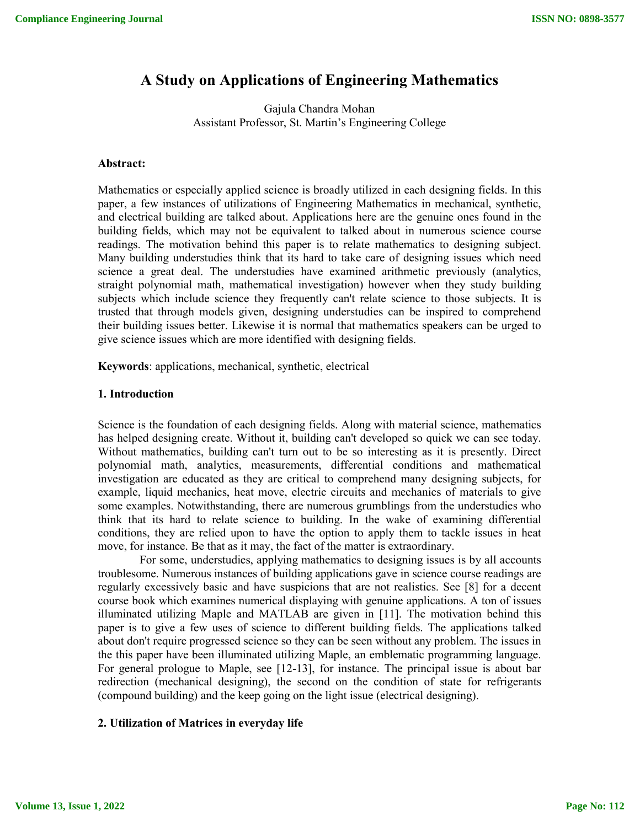# **A Study on Applications of Engineering Mathematics**

Gajula Chandra Mohan Assistant Professor, St. Martin's Engineering College

## **Abstract:**

Mathematics or especially applied science is broadly utilized in each designing fields. In this paper, a few instances of utilizations of Engineering Mathematics in mechanical, synthetic, and electrical building are talked about. Applications here are the genuine ones found in the building fields, which may not be equivalent to talked about in numerous science course readings. The motivation behind this paper is to relate mathematics to designing subject. Many building understudies think that its hard to take care of designing issues which need science a great deal. The understudies have examined arithmetic previously (analytics, straight polynomial math, mathematical investigation) however when they study building subjects which include science they frequently can't relate science to those subjects. It is trusted that through models given, designing understudies can be inspired to comprehend their building issues better. Likewise it is normal that mathematics speakers can be urged to give science issues which are more identified with designing fields.

**Keywords**: applications, mechanical, synthetic, electrical

#### **1. Introduction**

Science is the foundation of each designing fields. Along with material science, mathematics has helped designing create. Without it, building can't developed so quick we can see today. Without mathematics, building can't turn out to be so interesting as it is presently. Direct polynomial math, analytics, measurements, differential conditions and mathematical investigation are educated as they are critical to comprehend many designing subjects, for example, liquid mechanics, heat move, electric circuits and mechanics of materials to give some examples. Notwithstanding, there are numerous grumblings from the understudies who think that its hard to relate science to building. In the wake of examining differential conditions, they are relied upon to have the option to apply them to tackle issues in heat move, for instance. Be that as it may, the fact of the matter is extraordinary.

For some, understudies, applying mathematics to designing issues is by all accounts troublesome. Numerous instances of building applications gave in science course readings are regularly excessively basic and have suspicions that are not realistics. See [8] for a decent course book which examines numerical displaying with genuine applications. A ton of issues illuminated utilizing Maple and MATLAB are given in [11]. The motivation behind this paper is to give a few uses of science to different building fields. The applications talked about don't require progressed science so they can be seen without any problem. The issues in the this paper have been illuminated utilizing Maple, an emblematic programming language. For general prologue to Maple, see [12-13], for instance. The principal issue is about bar redirection (mechanical designing), the second on the condition of state for refrigerants (compound building) and the keep going on the light issue (electrical designing).

## **2. Utilization of Matrices in everyday life**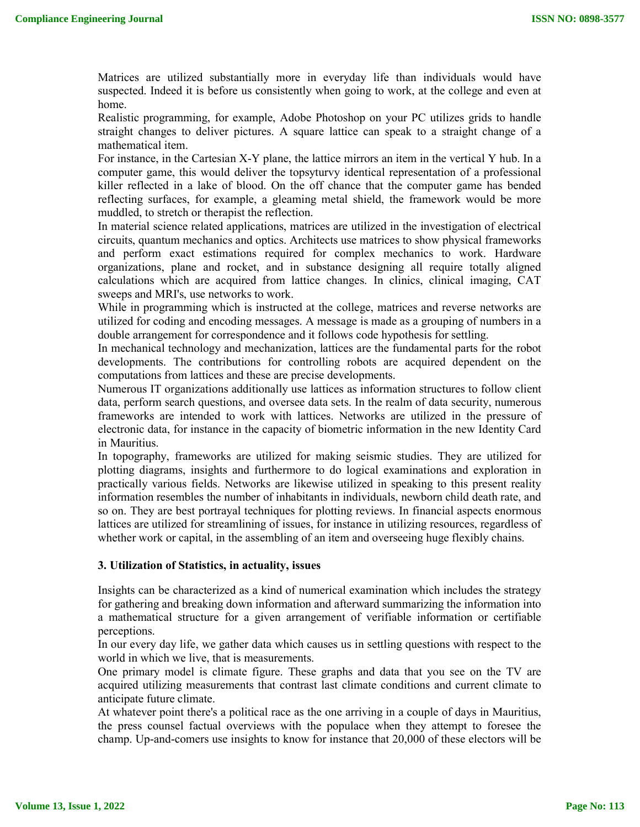Matrices are utilized substantially more in everyday life than individuals would have suspected. Indeed it is before us consistently when going to work, at the college and even at home.

Realistic programming, for example, Adobe Photoshop on your PC utilizes grids to handle straight changes to deliver pictures. A square lattice can speak to a straight change of a mathematical item.

For instance, in the Cartesian X-Y plane, the lattice mirrors an item in the vertical Y hub. In a computer game, this would deliver the topsyturvy identical representation of a professional killer reflected in a lake of blood. On the off chance that the computer game has bended reflecting surfaces, for example, a gleaming metal shield, the framework would be more muddled, to stretch or therapist the reflection.

In material science related applications, matrices are utilized in the investigation of electrical circuits, quantum mechanics and optics. Architects use matrices to show physical frameworks and perform exact estimations required for complex mechanics to work. Hardware organizations, plane and rocket, and in substance designing all require totally aligned calculations which are acquired from lattice changes. In clinics, clinical imaging, CAT sweeps and MRI's, use networks to work.

While in programming which is instructed at the college, matrices and reverse networks are utilized for coding and encoding messages. A message is made as a grouping of numbers in a double arrangement for correspondence and it follows code hypothesis for settling.

In mechanical technology and mechanization, lattices are the fundamental parts for the robot developments. The contributions for controlling robots are acquired dependent on the computations from lattices and these are precise developments.

Numerous IT organizations additionally use lattices as information structures to follow client data, perform search questions, and oversee data sets. In the realm of data security, numerous frameworks are intended to work with lattices. Networks are utilized in the pressure of electronic data, for instance in the capacity of biometric information in the new Identity Card in Mauritius.

In topography, frameworks are utilized for making seismic studies. They are utilized for plotting diagrams, insights and furthermore to do logical examinations and exploration in practically various fields. Networks are likewise utilized in speaking to this present reality information resembles the number of inhabitants in individuals, newborn child death rate, and so on. They are best portrayal techniques for plotting reviews. In financial aspects enormous lattices are utilized for streamlining of issues, for instance in utilizing resources, regardless of whether work or capital, in the assembling of an item and overseeing huge flexibly chains.

# **3. Utilization of Statistics, in actuality, issues**

Insights can be characterized as a kind of numerical examination which includes the strategy for gathering and breaking down information and afterward summarizing the information into a mathematical structure for a given arrangement of verifiable information or certifiable perceptions.

In our every day life, we gather data which causes us in settling questions with respect to the world in which we live, that is measurements.

One primary model is climate figure. These graphs and data that you see on the TV are acquired utilizing measurements that contrast last climate conditions and current climate to anticipate future climate.

At whatever point there's a political race as the one arriving in a couple of days in Mauritius, the press counsel factual overviews with the populace when they attempt to foresee the champ. Up-and-comers use insights to know for instance that 20,000 of these electors will be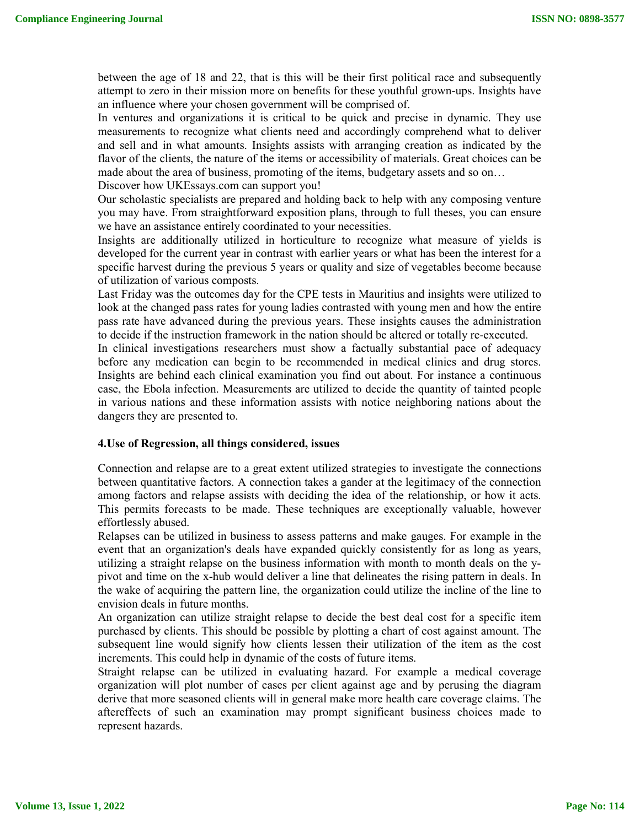between the age of 18 and 22, that is this will be their first political race and subsequently attempt to zero in their mission more on benefits for these youthful grown-ups. Insights have an influence where your chosen government will be comprised of.

In ventures and organizations it is critical to be quick and precise in dynamic. They use measurements to recognize what clients need and accordingly comprehend what to deliver and sell and in what amounts. Insights assists with arranging creation as indicated by the flavor of the clients, the nature of the items or accessibility of materials. Great choices can be made about the area of business, promoting of the items, budgetary assets and so on… Discover how UKEssays.com can support you!

Our scholastic specialists are prepared and holding back to help with any composing venture you may have. From straightforward exposition plans, through to full theses, you can ensure we have an assistance entirely coordinated to your necessities.

Insights are additionally utilized in horticulture to recognize what measure of yields is developed for the current year in contrast with earlier years or what has been the interest for a specific harvest during the previous 5 years or quality and size of vegetables become because of utilization of various composts.

Last Friday was the outcomes day for the CPE tests in Mauritius and insights were utilized to look at the changed pass rates for young ladies contrasted with young men and how the entire pass rate have advanced during the previous years. These insights causes the administration to decide if the instruction framework in the nation should be altered or totally re-executed.

In clinical investigations researchers must show a factually substantial pace of adequacy before any medication can begin to be recommended in medical clinics and drug stores. Insights are behind each clinical examination you find out about. For instance a continuous case, the Ebola infection. Measurements are utilized to decide the quantity of tainted people in various nations and these information assists with notice neighboring nations about the dangers they are presented to.

# **4.Use of Regression, all things considered, issues**

Connection and relapse are to a great extent utilized strategies to investigate the connections between quantitative factors. A connection takes a gander at the legitimacy of the connection among factors and relapse assists with deciding the idea of the relationship, or how it acts. This permits forecasts to be made. These techniques are exceptionally valuable, however effortlessly abused.

Relapses can be utilized in business to assess patterns and make gauges. For example in the event that an organization's deals have expanded quickly consistently for as long as years, utilizing a straight relapse on the business information with month to month deals on the ypivot and time on the x-hub would deliver a line that delineates the rising pattern in deals. In the wake of acquiring the pattern line, the organization could utilize the incline of the line to envision deals in future months.

An organization can utilize straight relapse to decide the best deal cost for a specific item purchased by clients. This should be possible by plotting a chart of cost against amount. The subsequent line would signify how clients lessen their utilization of the item as the cost increments. This could help in dynamic of the costs of future items.

Straight relapse can be utilized in evaluating hazard. For example a medical coverage organization will plot number of cases per client against age and by perusing the diagram derive that more seasoned clients will in general make more health care coverage claims. The aftereffects of such an examination may prompt significant business choices made to represent hazards.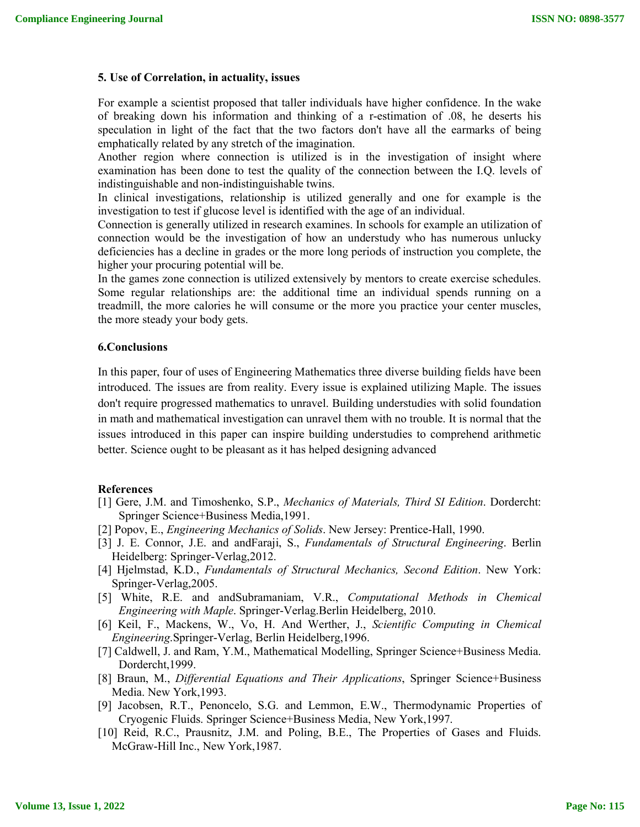## **5. Use of Correlation, in actuality, issues**

For example a scientist proposed that taller individuals have higher confidence. In the wake of breaking down his information and thinking of a r-estimation of .08, he deserts his speculation in light of the fact that the two factors don't have all the earmarks of being emphatically related by any stretch of the imagination.

Another region where connection is utilized is in the investigation of insight where examination has been done to test the quality of the connection between the I.Q. levels of indistinguishable and non-indistinguishable twins.

In clinical investigations, relationship is utilized generally and one for example is the investigation to test if glucose level is identified with the age of an individual.

Connection is generally utilized in research examines. In schools for example an utilization of connection would be the investigation of how an understudy who has numerous unlucky deficiencies has a decline in grades or the more long periods of instruction you complete, the higher your procuring potential will be.

In the games zone connection is utilized extensively by mentors to create exercise schedules. Some regular relationships are: the additional time an individual spends running on a treadmill, the more calories he will consume or the more you practice your center muscles, the more steady your body gets.

## **6.Conclusions**

In this paper, four of uses of Engineering Mathematics three diverse building fields have been introduced. The issues are from reality. Every issue is explained utilizing Maple. The issues don't require progressed mathematics to unravel. Building understudies with solid foundation in math and mathematical investigation can unravel them with no trouble. It is normal that the issues introduced in this paper can inspire building understudies to comprehend arithmetic better. Science ought to be pleasant as it has helped designing advanced

#### **References**

- [1] Gere, J.M. and Timoshenko, S.P., *Mechanics of Materials, Third SI Edition*. Dordercht: Springer Science+Business Media,1991.
- [2] Popov, E., *Engineering Mechanics of Solids*. New Jersey: Prentice-Hall, 1990.
- [3] J. E. Connor, J.E. and andFaraji, S., *Fundamentals of Structural Engineering*. Berlin Heidelberg: Springer-Verlag,2012.
- [4] Hjelmstad, K.D., *Fundamentals of Structural Mechanics, Second Edition*. New York: Springer-Verlag,2005.
- [5] White, R.E. and andSubramaniam, V.R., *Computational Methods in Chemical Engineering with Maple*. Springer-Verlag.Berlin Heidelberg, 2010.
- [6] Keil, F., Mackens, W., Vo, H. And Werther, J., *Scientific Computing in Chemical Engineering*.Springer-Verlag, Berlin Heidelberg,1996.
- [7] Caldwell, J. and Ram, Y.M., Mathematical Modelling, Springer Science+Business Media. Dordercht,1999.
- [8] Braun, M., *Differential Equations and Their Applications*, Springer Science+Business Media. New York,1993.
- [9] Jacobsen, R.T., Penoncelo, S.G. and Lemmon, E.W., Thermodynamic Properties of Cryogenic Fluids. Springer Science+Business Media, New York,1997.
- [10] Reid, R.C., Prausnitz, J.M. and Poling, B.E., The Properties of Gases and Fluids. McGraw-Hill Inc., New York,1987.